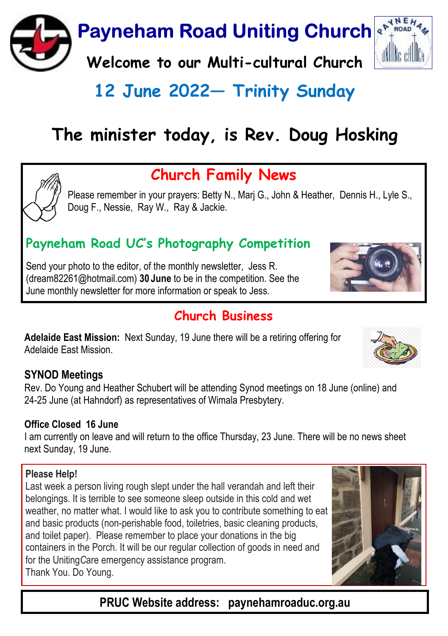

# 12 June 2022 - Trinity Sunday

# The minister today, is Rev. Doug Hosking



Please remember in your prayers: Betty N., Marj G., John & Heather, Dennis H., Lyle S., Doug F., Nessie, Ray W., Ray & Jackie.

## Payneham Road UC's Photography Competition

Send your photo to the editor, of the monthly newsletter, Jess R. (dream82261@hotmail.com) 30 June to be in the competition. See the June monthly newsletter for more information or speak to Jess.

## Church Rusiness

Adelaide East Mission: Next Sunday, 19 June there will be a retiring offering for Adelaide East Mission.

### SYNOD Meetings

Rev. Do Young and Heather Schubert will be attending Synod meetings on 18 June (online) and 24-25 June (at Hahndorf) as representatives of Wimala Presbytery.

### Office Closed 16 June

I am currently on leave and will return to the office Thursday, 23 June. There will be no news sheet next Sunday, 19 June.

### Please Help!

Last week a person living rough slept under the hall verandah and left their belongings. It is terrible to see someone sleep outside in this cold and wet weather, no matter what. I would like to ask you to contribute something to eat and basic products (non-perishable food, toiletries, basic cleaning products, and toilet paper). Please remember to place your donations in the big containers in the Porch. It will be our regular collection of goods in need and for the UnitingCare emergency assistance program. Thank You. Do Young.

PRUC Website address: paynehamroaduc.org.au